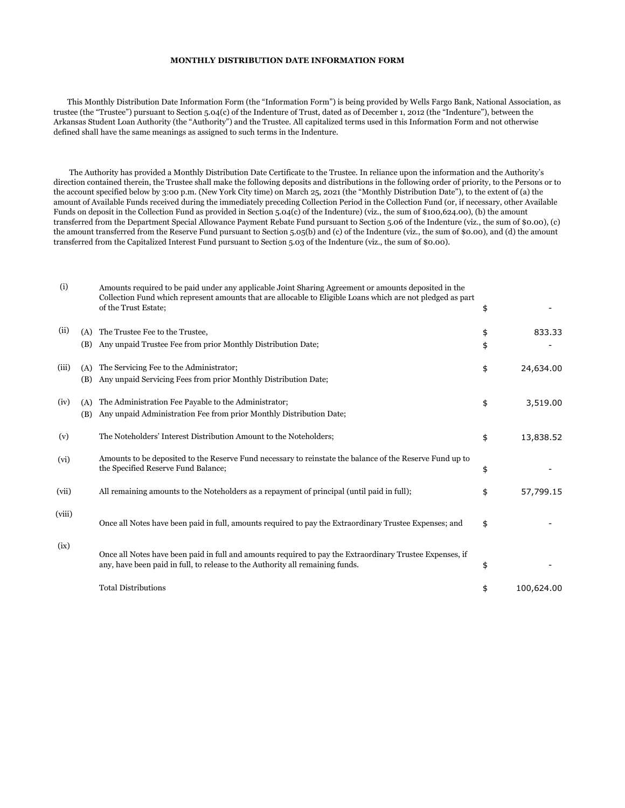## **MONTHLY DISTRIBUTION DATE INFORMATION FORM**

 This Monthly Distribution Date Information Form (the "Information Form") is being provided by Wells Fargo Bank, National Association, as trustee (the "Trustee") pursuant to Section 5.04(c) of the Indenture of Trust, dated as of December 1, 2012 (the "Indenture"), between the Arkansas Student Loan Authority (the "Authority") and the Trustee. All capitalized terms used in this Information Form and not otherwise defined shall have the same meanings as assigned to such terms in the Indenture.

 The Authority has provided a Monthly Distribution Date Certificate to the Trustee. In reliance upon the information and the Authority's direction contained therein, the Trustee shall make the following deposits and distributions in the following order of priority, to the Persons or to the account specified below by 3:00 p.m. (New York City time) on March 25, 2021 (the "Monthly Distribution Date"), to the extent of (a) the amount of Available Funds received during the immediately preceding Collection Period in the Collection Fund (or, if necessary, other Available Funds on deposit in the Collection Fund as provided in Section 5.04(c) of the Indenture) (viz., the sum of \$100,624.00), (b) the amount transferred from the Department Special Allowance Payment Rebate Fund pursuant to Section 5.06 of the Indenture (viz., the sum of \$0.00), (c) the amount transferred from the Reserve Fund pursuant to Section 5.05(b) and (c) of the Indenture (viz., the sum of \$0.00), and (d) the amount transferred from the Capitalized Interest Fund pursuant to Section 5.03 of the Indenture (viz., the sum of \$0.00).

| (i)    |            | Amounts required to be paid under any applicable Joint Sharing Agreement or amounts deposited in the<br>Collection Fund which represent amounts that are allocable to Eligible Loans which are not pledged as part<br>of the Trust Estate; | \$       |            |
|--------|------------|--------------------------------------------------------------------------------------------------------------------------------------------------------------------------------------------------------------------------------------------|----------|------------|
| (ii)   | (A)<br>(B) | The Trustee Fee to the Trustee,<br>Any unpaid Trustee Fee from prior Monthly Distribution Date;                                                                                                                                            | \$<br>\$ | 833.33     |
| (iii)  | (A)<br>(B) | The Servicing Fee to the Administrator;<br>Any unpaid Servicing Fees from prior Monthly Distribution Date;                                                                                                                                 | \$       | 24,634.00  |
| (iv)   | (A)<br>(B) | The Administration Fee Payable to the Administrator;<br>Any unpaid Administration Fee from prior Monthly Distribution Date;                                                                                                                | \$       | 3,519.00   |
| (v)    |            | The Noteholders' Interest Distribution Amount to the Noteholders;                                                                                                                                                                          | \$       | 13,838.52  |
| (vi)   |            | Amounts to be deposited to the Reserve Fund necessary to reinstate the balance of the Reserve Fund up to<br>the Specified Reserve Fund Balance;                                                                                            | \$       |            |
| (vii)  |            | All remaining amounts to the Noteholders as a repayment of principal (until paid in full);                                                                                                                                                 | \$       | 57,799.15  |
| (viii) |            | Once all Notes have been paid in full, amounts required to pay the Extraordinary Trustee Expenses; and                                                                                                                                     | \$       |            |
| (ix)   |            | Once all Notes have been paid in full and amounts required to pay the Extraordinary Trustee Expenses, if<br>any, have been paid in full, to release to the Authority all remaining funds.                                                  | \$       |            |
|        |            | <b>Total Distributions</b>                                                                                                                                                                                                                 | \$       | 100,624.00 |